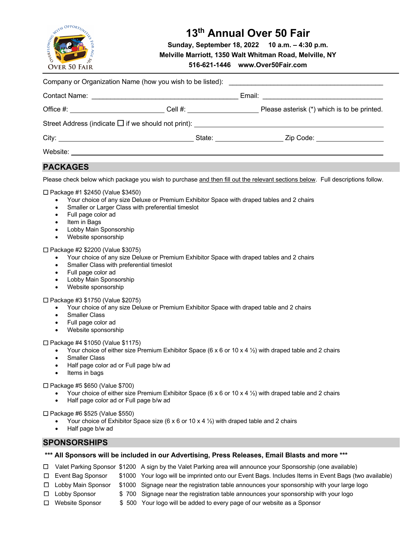

# **13th Annual Over 50 Fair**

**Sunday, September 18, 2022 10 a.m. – 4:30 p.m.**

**Melville Marriott, 1350 Walt Whitman Road, Melville, NY**

**516-621-1446 www.Over50Fair.com**

| <b>PACKAGES</b>                                                                                                                                             |                                                                                                                                                   |                                                                                                                                |
|-------------------------------------------------------------------------------------------------------------------------------------------------------------|---------------------------------------------------------------------------------------------------------------------------------------------------|--------------------------------------------------------------------------------------------------------------------------------|
|                                                                                                                                                             |                                                                                                                                                   | Please check below which package you wish to purchase and then fill out the relevant sections below. Full descriptions follow. |
| $\Box$ Package #1 \$2450 (Value \$3450)<br>$\bullet$<br>Full page color ad<br>$\bullet$<br>Item in Bags<br>$\bullet$<br>Lohhy Main Sponsorshin<br>$\bullet$ | • Your choice of any size Deluxe or Premium Exhibitor Space with draped tables and 2 chairs<br>Smaller or Larger Class with preferential timeslot |                                                                                                                                |

- Lobby Main Sponsorship
- Website sponsorship

## £ Package #2 \$2200 (Value \$3075)

- Your choice of any size Deluxe or Premium Exhibitor Space with draped tables and 2 chairs
- Smaller Class with preferential timeslot
- Full page color ad
- Lobby Main Sponsorship
- Website sponsorship

£ Package #3 \$1750 (Value \$2075)

- Your choice of any size Deluxe or Premium Exhibitor Space with draped table and 2 chairs
- Smaller Class
- Full page color ad
- Website sponsorship

#### £ Package #4 \$1050 (Value \$1175)

- Your choice of either size Premium Exhibitor Space (6 x 6 or 10 x 4  $\frac{1}{2}$ ) with draped table and 2 chairs
- Smaller Class
- Half page color ad or Full page b/w ad
- Items in bags

 $\Box$  Package #5 \$650 (Value \$700)

- Your choice of either size Premium Exhibitor Space (6 x 6 or 10 x 4  $\frac{1}{2}$ ) with draped table and 2 chairs
- Half page color ad or Full page b/w ad

£ Package #6 \$525 (Value \$550)

- Your choice of Exhibitor Space size (6 x 6 or 10 x 4  $\frac{1}{2}$ ) with draped table and 2 chairs
- Half page b/w ad

## **SPONSORSHIPS**

## **\*\*\* All Sponsors will be included in our Advertising, Press Releases, Email Blasts and more \*\*\***

- £ Valet Parking Sponsor \$1200 A sign by the Valet Parking area will announce your Sponsorship (one available)
- £ Event Bag Sponsor \$1000 Your logo will be imprinted onto our Event Bags. Includes Items in Event Bags (two available)
- £ Lobby Main Sponsor \$1000 Signage near the registration table announces your sponsorship with your large logo
- $\Box$  Lobby Sponsor  $\Box$  \$ 700 Signage near the registration table announces your sponsorship with your logo
- £ Website Sponsor \$ 500 Your logo will be added to every page of our website as a Sponsor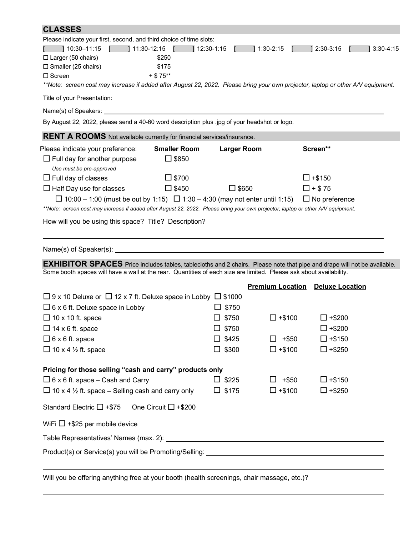| <b>CLASSES</b>                                                                                                                                                                                                                                         |                    |                                         |                      |              |  |  |
|--------------------------------------------------------------------------------------------------------------------------------------------------------------------------------------------------------------------------------------------------------|--------------------|-----------------------------------------|----------------------|--------------|--|--|
| Please indicate your first, second, and third choice of time slots:                                                                                                                                                                                    |                    |                                         |                      |              |  |  |
| 1 10:30–11:15   11:30-12:15   12:30-1:15   1:30-2:15                                                                                                                                                                                                   |                    |                                         | $12:30-3:15$         | $13:30-4:15$ |  |  |
| $\Box$ Larger (50 chairs)<br>\$250                                                                                                                                                                                                                     |                    |                                         |                      |              |  |  |
| $\square$ Smaller (25 chairs)<br>\$175<br>$+ $75***$<br>$\Box$ Screen                                                                                                                                                                                  |                    |                                         |                      |              |  |  |
| **Note: screen cost may increase if added after August 22, 2022. Please bring your own projector, laptop or other A/V equipment.                                                                                                                       |                    |                                         |                      |              |  |  |
| Title of your Presentation: University of the state of the state of the state of your Presentation:                                                                                                                                                    |                    |                                         |                      |              |  |  |
|                                                                                                                                                                                                                                                        |                    |                                         |                      |              |  |  |
| By August 22, 2022, please send a 40-60 word description plus .jpg of your headshot or logo.                                                                                                                                                           |                    |                                         |                      |              |  |  |
| <b>RENT A ROOMS</b> Not available currently for financial services/insurance.                                                                                                                                                                          |                    |                                         |                      |              |  |  |
| Please indicate your preference:<br><b>Smaller Room</b>                                                                                                                                                                                                | <b>Larger Room</b> |                                         | Screen**             |              |  |  |
| $\Box$ \$850<br>$\Box$ Full day for another purpose                                                                                                                                                                                                    |                    |                                         |                      |              |  |  |
| Use must be pre-approved<br>$\square$ \$700<br>$\Box$ Full day of classes                                                                                                                                                                              |                    |                                         | $\Box$ +\$150        |              |  |  |
| $\Box$ Half Day use for classes<br>$\Box$ \$450                                                                                                                                                                                                        | $\Box$ \$650       |                                         | $\Box$ + \$75        |              |  |  |
| $\Box$ 10:00 – 1:00 (must be out by 1:15) $\Box$ 1:30 – 4:30 (may not enter until 1:15)                                                                                                                                                                |                    |                                         | $\Box$ No preference |              |  |  |
| **Note: screen cost may increase if added after August 22, 2022. Please bring your own projector, laptop or other A/V equipment.                                                                                                                       |                    |                                         |                      |              |  |  |
|                                                                                                                                                                                                                                                        |                    |                                         |                      |              |  |  |
|                                                                                                                                                                                                                                                        |                    |                                         |                      |              |  |  |
|                                                                                                                                                                                                                                                        |                    |                                         |                      |              |  |  |
|                                                                                                                                                                                                                                                        |                    |                                         |                      |              |  |  |
| <b>EXHIBITOR SPACES</b> Price includes tables, tablecloths and 2 chairs. Please note that pipe and drape will not be available.<br>Some booth spaces will have a wall at the rear. Quantities of each size are limited. Please ask about availability. |                    |                                         |                      |              |  |  |
|                                                                                                                                                                                                                                                        |                    | <b>Premium Location Deluxe Location</b> |                      |              |  |  |
| $\Box$ 9 x 10 Deluxe or $\Box$ 12 x 7 ft. Deluxe space in Lobby $\Box$ \$1000                                                                                                                                                                          |                    |                                         |                      |              |  |  |
| $\Box$ 6 x 6 ft. Deluxe space in Lobby                                                                                                                                                                                                                 | $\Box$ \$750       |                                         |                      |              |  |  |
| $\Box$ 10 x 10 ft. space                                                                                                                                                                                                                               | $\Box$ \$750       | $\Box$ +\$100                           | $\Box$ +\$200        |              |  |  |
| $\Box$ 14 x 6 ft. space                                                                                                                                                                                                                                | $\square$ \$750    |                                         | $\square$ +\$200     |              |  |  |
| $\Box$ 6 x 6 ft. space                                                                                                                                                                                                                                 | $\square$ \$425    | $+ $50$<br>ш                            | $\Box$ +\$150        |              |  |  |
| $\Box$ 10 x 4 1/2 ft. space                                                                                                                                                                                                                            | $\Box$ \$300       | $\Box$ +\$100                           | $\Box$ +\$250        |              |  |  |
| Pricing for those selling "cash and carry" products only                                                                                                                                                                                               |                    |                                         |                      |              |  |  |
| $\Box$ 6 x 6 ft. space – Cash and Carry                                                                                                                                                                                                                | $\Box$ \$225       | $+$ \$50<br>$\Box$                      | $\Box$ +\$150        |              |  |  |
| $\Box$ 10 x 4 1/2 ft. space – Selling cash and carry only                                                                                                                                                                                              | $\Box$ \$175       | $\Box$ +\$100                           | $\Box$ +\$250        |              |  |  |
|                                                                                                                                                                                                                                                        |                    |                                         |                      |              |  |  |
| One Circuit $\Box$ +\$200<br>Standard Electric $\Box$ +\$75                                                                                                                                                                                            |                    |                                         |                      |              |  |  |
| WiFi $\Box$ +\$25 per mobile device                                                                                                                                                                                                                    |                    |                                         |                      |              |  |  |
|                                                                                                                                                                                                                                                        |                    |                                         |                      |              |  |  |
|                                                                                                                                                                                                                                                        |                    |                                         |                      |              |  |  |
|                                                                                                                                                                                                                                                        |                    |                                         |                      |              |  |  |

Will you be offering anything free at your booth (health screenings, chair massage, etc.)?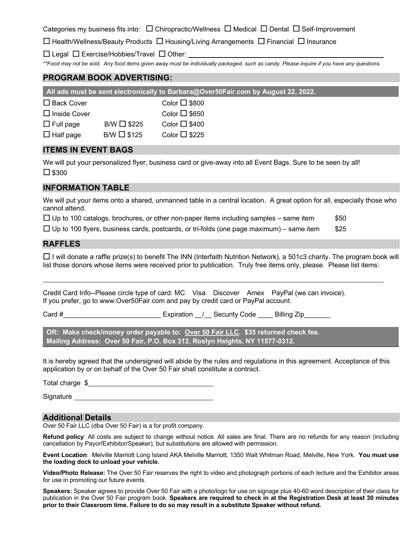Categories my business fits into:  $\Box$  Chiropractic/Wellness  $\Box$  Medical  $\Box$  Dental  $\Box$  Self-Improvement

 $\square$  Health/Wellness/Beauty Products  $\square$  Housing/Living Arrangements  $\square$  Financial  $\square$  Insurance

 $\square$  Legal  $\square$  Exercise/Hobbies/Travel  $\square$  Other:

*\*\*Food may not be sold. Any food items given away must be individually packaged, such as candy. Please inquire if you have any questions.*

# **PROGRAM BOOK ADVERTISING:**

**All ads must be sent electronically to Barbara@Over50Fair.com by August 22, 2022.**

 $\square$  Inside Cover Color  $\square$  \$650

| $\Box$ Full page | B/W $\Box$ \$225 | Color $\Box$ \$400 |
|------------------|------------------|--------------------|
|------------------|------------------|--------------------|

 $\Box$  Half page B/W  $\Box$  \$125 Color  $\Box$  \$225

# **ITEMS IN EVENT BAGS**

We will put your personalized flyer, business card or give-away into all Event Bags. Sure to be seen by all!  $\square$  \$300

# **INFORMATION TABLE**

We will put your items onto a shared, unmanned table in a central location. A great option for all, especially those who cannot attend.

|  | $\Box$ Up to 100 catalogs, brochures, or other non-paper items including samples – same item |  | \$50 |
|--|----------------------------------------------------------------------------------------------|--|------|
|--|----------------------------------------------------------------------------------------------|--|------|

 $\Box$  Up to 100 flyers, business cards, postcards, or tri-folds (one page maximum) – same item  $$25$ 

## **RAFFLES**

 $\Box$  I will donate a raffle prize(s) to benefit The INN (Interfaith Nutrition Network), a 501c3 charity. The program book will list those donors whose items were received prior to publication. Truly free items only, please. Please list items:

Credit Card Info--Please circle type of card: MC Visa Discover Amex PayPal (we can invoice). If you prefer, go to www.Over50Fair.com and pay by credit card or PayPal account.

Card #  $\qquad \qquad$  Expiration  $\qquad$  Security Code  $\qquad$  Billing Zip

**OR: Make check/money order payable to: Over 50 Fair LLC. \$35 returned check fee. Mailing Address: Over 50 Fair, P.O. Box 312, Roslyn Heights, NY 11577-0312.** 

It is hereby agreed that the undersigned will abide by the rules and regulations in this agreement. Acceptance of this application by or on behalf of the Over 50 Fair shall constitute a contract.

Total charge  $\frac{1}{2}$  and the set of the set of the set of the set of the set of the set of the set of the set of the set of the set of the set of the set of the set of the set of the set of the set of the set of the set

Signature **Signature** and the state of the state of the state of the state of the state of the state of the state of the state of the state of the state of the state of the state of the state of the state of the state of t

## **Additional Details**

Over 50 Fair LLC (dba Over 50 Fair) is a for profit company.

**Refund policy**: All costs are subject to change without notice. All sales are final. There are no refunds for any reason (including cancellation by Payor/Exhibitor/Speaker), but substitutions are allowed with permission.

**Event Location**: Melville Marriott Long Island AKA Melville Marriott, 1350 Walt Whitman Road, Melville, New York. **You must use the loading dock to unload your vehicle.**

**Video/Photo Release:** The Over 50 Fair reserves the right to video and photograph portions of each lecture and the Exhibitor areas for use in promoting our future events.

**Speakers:** Speaker agrees to provide Over 50 Fair with a photo/logo for use on signage plus 40-60 word description of their class for publication in the Over 50 Fair program book. **Speakers are required to check in at the Registration Desk at least 30 minutes prior to their Classroom time. Failure to do so may result in a substitute Speaker without refund.**